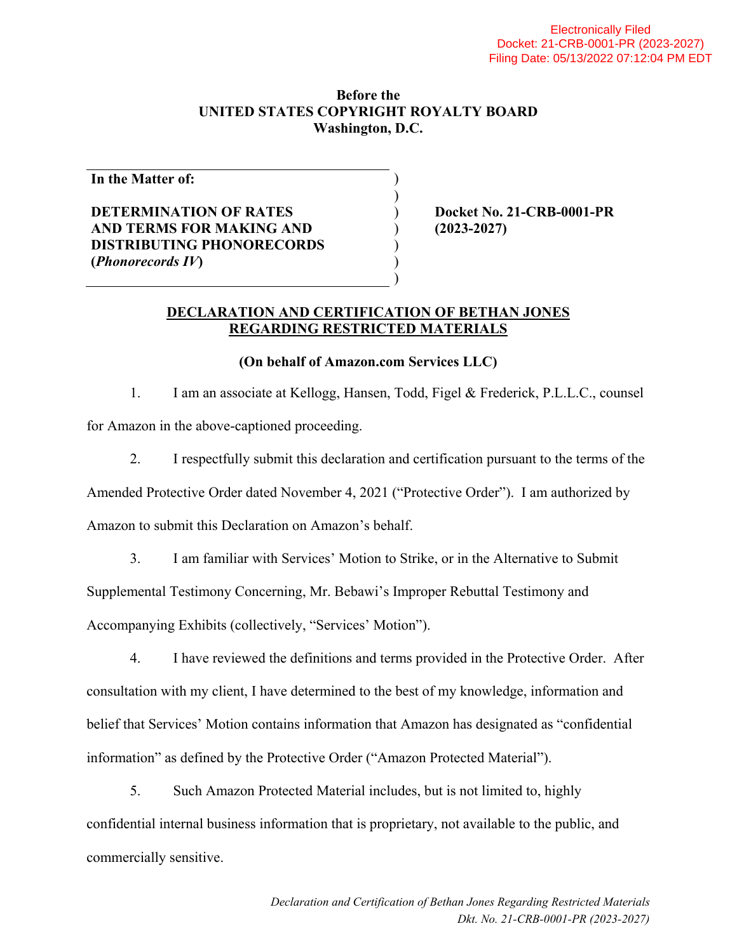#### **Before the UNITED STATES COPYRIGHT ROYALTY BOARD Washington, D.C.**

) )

> ) ) )

**In the Matter of:** 

## **DETERMINATION OF RATES AND TERMS FOR MAKING AND DISTRIBUTING PHONORECORDS (***Phonorecords IV***)**

) **Docket No. 21-CRB-0001-PR**  ) **(2023-2027)** 

#### **DECLARATION AND CERTIFICATION OF BETHAN JONES REGARDING RESTRICTED MATERIALS**

### **(On behalf of Amazon.com Services LLC)**

1. I am an associate at Kellogg, Hansen, Todd, Figel & Frederick, P.L.L.C., counsel for Amazon in the above-captioned proceeding.

2. I respectfully submit this declaration and certification pursuant to the terms of the

Amended Protective Order dated November 4, 2021 ("Protective Order"). I am authorized by

Amazon to submit this Declaration on Amazon's behalf.

3. I am familiar with Services' Motion to Strike, or in the Alternative to Submit Supplemental Testimony Concerning, Mr. Bebawi's Improper Rebuttal Testimony and Accompanying Exhibits (collectively, "Services' Motion").

4. I have reviewed the definitions and terms provided in the Protective Order. After consultation with my client, I have determined to the best of my knowledge, information and belief that Services' Motion contains information that Amazon has designated as "confidential information" as defined by the Protective Order ("Amazon Protected Material").

5. Such Amazon Protected Material includes, but is not limited to, highly confidential internal business information that is proprietary, not available to the public, and commercially sensitive.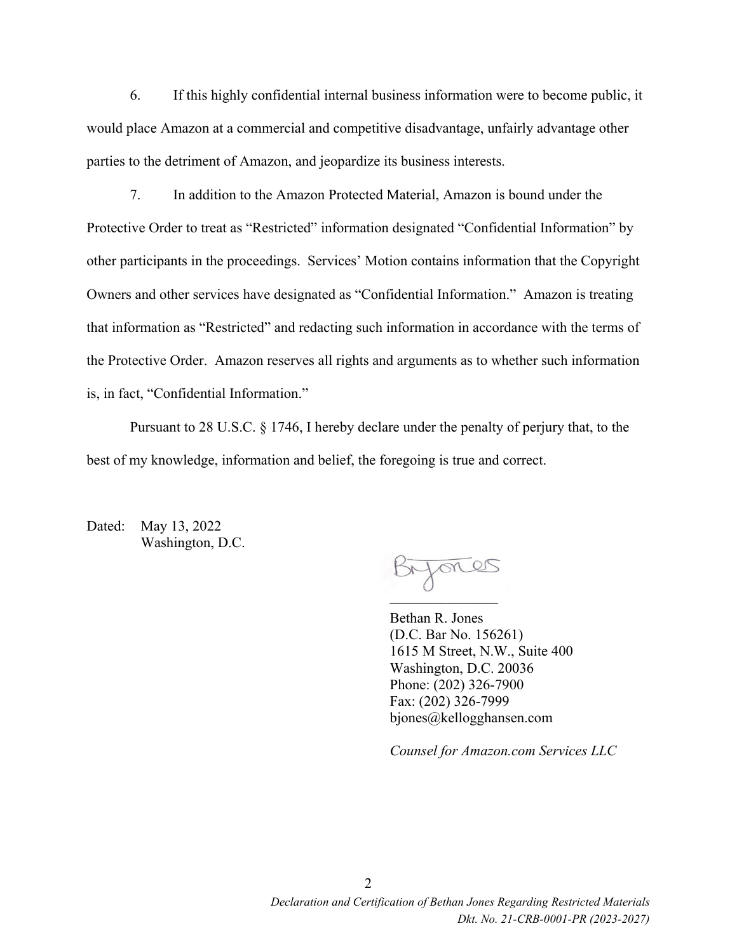6. If this highly confidential internal business information were to become public, it would place Amazon at a commercial and competitive disadvantage, unfairly advantage other parties to the detriment of Amazon, and jeopardize its business interests.

7. In addition to the Amazon Protected Material, Amazon is bound under the Protective Order to treat as "Restricted" information designated "Confidential Information" by other participants in the proceedings. Services' Motion contains information that the Copyright Owners and other services have designated as "Confidential Information." Amazon is treating that information as "Restricted" and redacting such information in accordance with the terms of the Protective Order. Amazon reserves all rights and arguments as to whether such information is, in fact, "Confidential Information."

Pursuant to 28 U.S.C. § 1746, I hereby declare under the penalty of perjury that, to the best of my knowledge, information and belief, the foregoing is true and correct.

Dated: May 13, 2022 Washington, D.C.

Bryones  $\overline{\phantom{a}}$ 

Bethan R. Jones (D.C. Bar No. 156261) 1615 M Street, N.W., Suite 400 Washington, D.C. 20036 Phone: (202) 326-7900 Fax: (202) 326-7999 bjones@kellogghansen.com

*Counsel for Amazon.com Services LLC*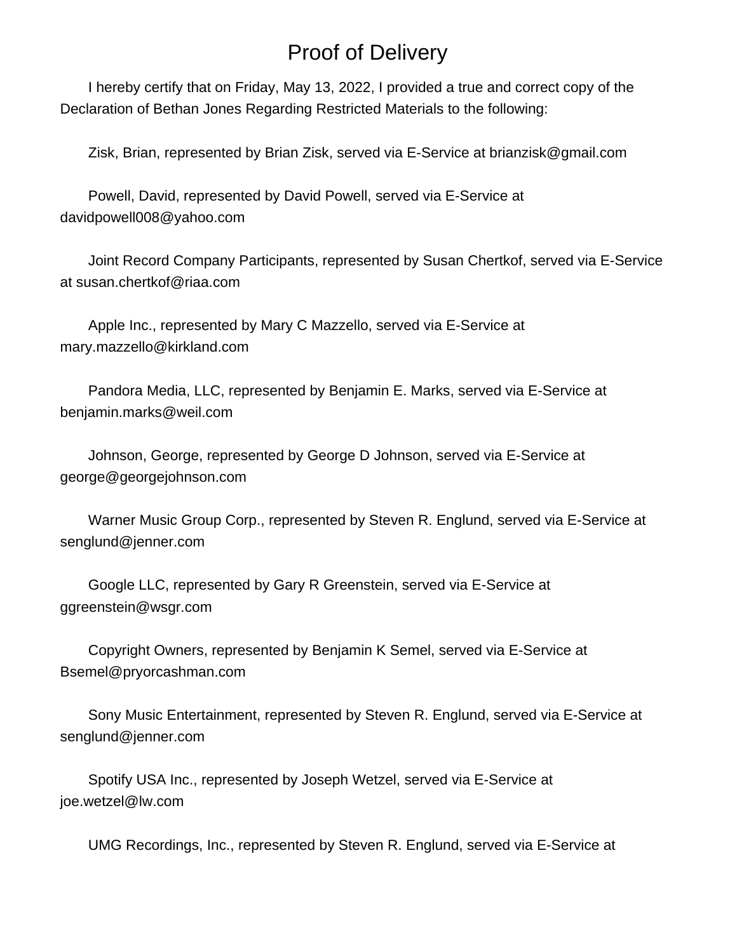# Proof of Delivery

 I hereby certify that on Friday, May 13, 2022, I provided a true and correct copy of the Declaration of Bethan Jones Regarding Restricted Materials to the following:

Zisk, Brian, represented by Brian Zisk, served via E-Service at brianzisk@gmail.com

 Powell, David, represented by David Powell, served via E-Service at davidpowell008@yahoo.com

 Joint Record Company Participants, represented by Susan Chertkof, served via E-Service at susan.chertkof@riaa.com

 Apple Inc., represented by Mary C Mazzello, served via E-Service at mary.mazzello@kirkland.com

 Pandora Media, LLC, represented by Benjamin E. Marks, served via E-Service at benjamin.marks@weil.com

 Johnson, George, represented by George D Johnson, served via E-Service at george@georgejohnson.com

 Warner Music Group Corp., represented by Steven R. Englund, served via E-Service at senglund@jenner.com

 Google LLC, represented by Gary R Greenstein, served via E-Service at ggreenstein@wsgr.com

 Copyright Owners, represented by Benjamin K Semel, served via E-Service at Bsemel@pryorcashman.com

 Sony Music Entertainment, represented by Steven R. Englund, served via E-Service at senglund@jenner.com

 Spotify USA Inc., represented by Joseph Wetzel, served via E-Service at joe.wetzel@lw.com

UMG Recordings, Inc., represented by Steven R. Englund, served via E-Service at